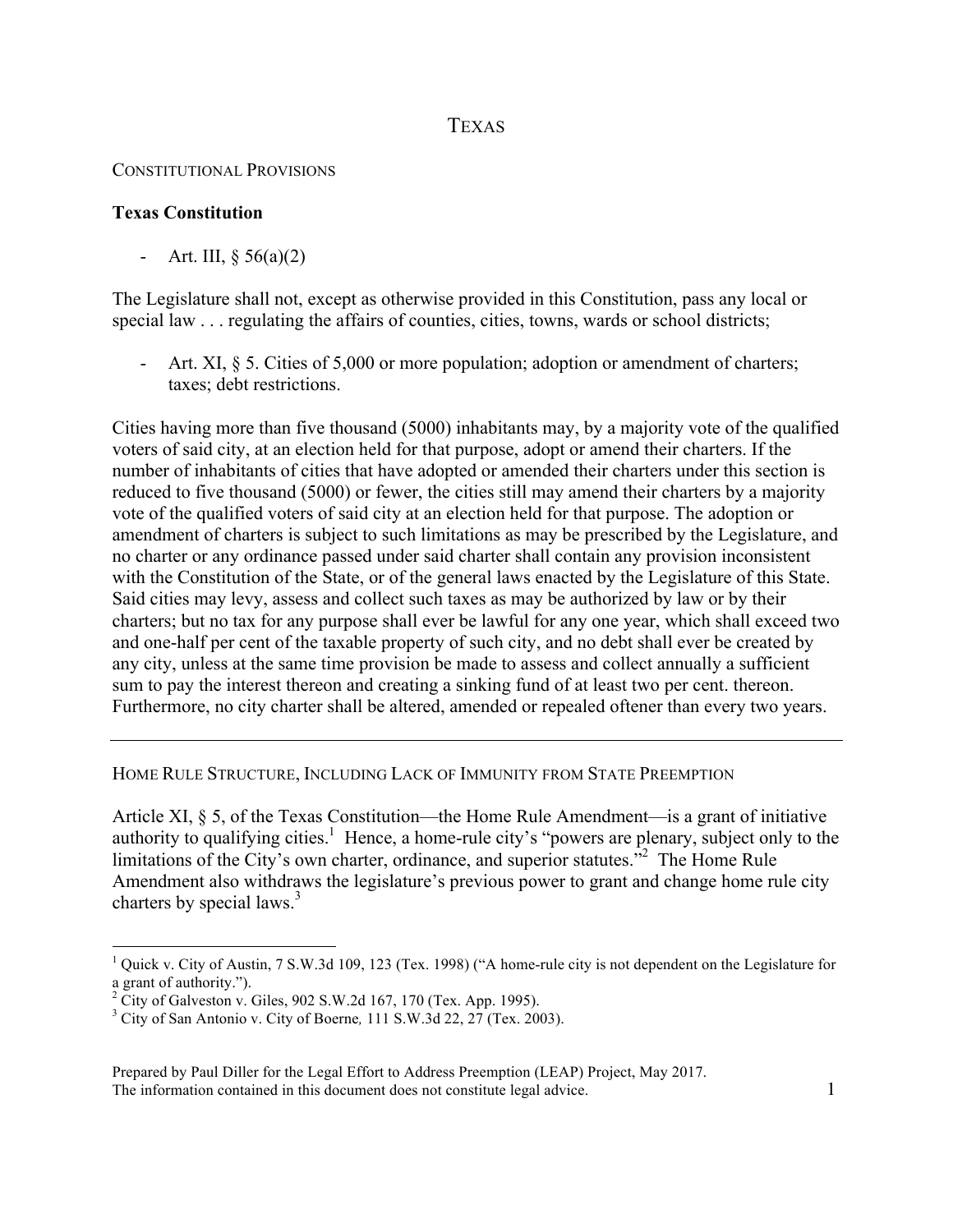## TEXAS

## CONSTITUTIONAL PROVISIONS

## **Texas Constitution**

- Art. III,  $\S 56(a)(2)$ 

The Legislature shall not, except as otherwise provided in this Constitution, pass any local or special law . . . regulating the affairs of counties, cities, towns, wards or school districts;

- Art. XI, § 5. Cities of 5,000 or more population; adoption or amendment of charters; taxes; debt restrictions.

Cities having more than five thousand (5000) inhabitants may, by a majority vote of the qualified voters of said city, at an election held for that purpose, adopt or amend their charters. If the number of inhabitants of cities that have adopted or amended their charters under this section is reduced to five thousand (5000) or fewer, the cities still may amend their charters by a majority vote of the qualified voters of said city at an election held for that purpose. The adoption or amendment of charters is subject to such limitations as may be prescribed by the Legislature, and no charter or any ordinance passed under said charter shall contain any provision inconsistent with the Constitution of the State, or of the general laws enacted by the Legislature of this State. Said cities may levy, assess and collect such taxes as may be authorized by law or by their charters; but no tax for any purpose shall ever be lawful for any one year, which shall exceed two and one-half per cent of the taxable property of such city, and no debt shall ever be created by any city, unless at the same time provision be made to assess and collect annually a sufficient sum to pay the interest thereon and creating a sinking fund of at least two per cent. thereon. Furthermore, no city charter shall be altered, amended or repealed oftener than every two years.

## HOME RULE STRUCTURE, INCLUDING LACK OF IMMUNITY FROM STATE PREEMPTION

Article XI, § 5, of the Texas Constitution—the Home Rule Amendment—is a grant of initiative authority to qualifying cities.<sup>1</sup> Hence, a home-rule city's "powers are plenary, subject only to the limitations of the City's own charter, ordinance, and superior statutes."<sup>2</sup> The Home Rule Amendment also withdraws the legislature's previous power to grant and change home rule city charters by special laws.<sup>3</sup>

 $\frac{1}{1}$ <sup>1</sup> Quick v. City of Austin, 7 S.W.3d 109, 123 (Tex. 1998) ("A home-rule city is not dependent on the Legislature for a grant of authority.").<br><sup>2</sup> City of Galveston v. Giles, 902 S.W.2d 167, 170 (Tex. App. 1995).

<sup>3</sup> City of San Antonio v. City of Boerne*,* 111 S.W.3d 22, 27 (Tex. 2003).

Prepared by Paul Diller for the Legal Effort to Address Preemption (LEAP) Project, May 2017. The information contained in this document does not constitute legal advice. 1